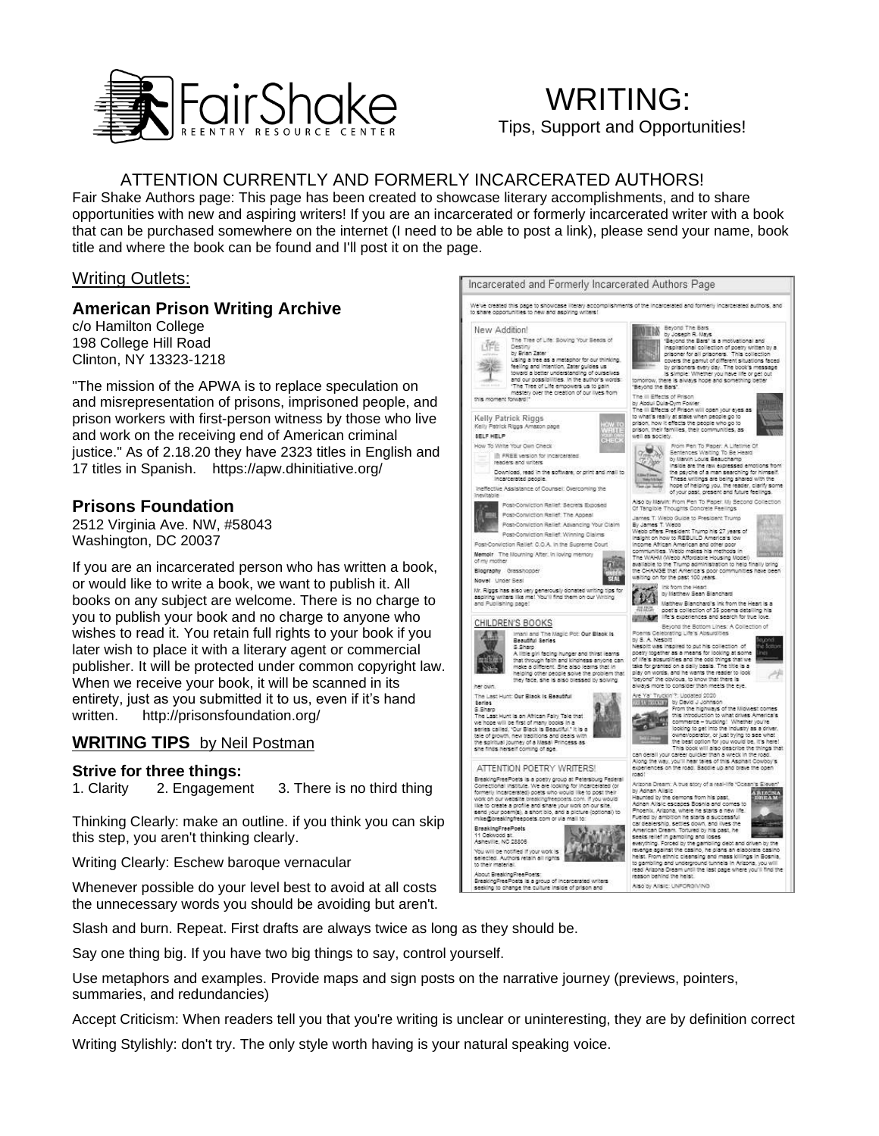

# WRITING: Tips, Support and Opportunities!

## ATTENTION CURRENTLY AND FORMERLY INCARCERATED AUTHORS!

Fair Shake Authors page: This page has been created to showcase literary accomplishments, and to share opportunities with new and aspiring writers! If you are an incarcerated or formerly incarcerated writer with a book that can be purchased somewhere on the internet (I need to be able to post a link), please send your name, book title and where the book can be found and I'll post it on the page.

#### Writing Outlets:

#### **American Prison Writing Archive**

c/o Hamilton College 198 College Hill Road Clinton, NY 13323-1218

"The mission of the APWA is to replace speculation on and misrepresentation of prisons, imprisoned people, and prison workers with first-person witness by those who live and work on the receiving end of American criminal justice." As of 2.18.20 they have 2323 titles in English and 17 titles in Spanish. https://apw.dhinitiative.org/

### **Prisons Foundation**

2512 Virginia Ave. NW, #58043 Washington, DC 20037

If you are an incarcerated person who has written a book, or would like to write a book, we want to publish it. All books on any subject are welcome. There is no charge to you to publish your book and no charge to anyone who wishes to read it. You retain full rights to your book if you later wish to place it with a literary agent or commercial publisher. It will be protected under common copyright law. When we receive your book, it will be scanned in its entirety, just as you submitted it to us, even if it's hand written. http://prisonsfoundation.org/

#### **WRITING TIPS** by Neil Postman

#### **Strive for three things:**

1. Clarity 2. Engagement 3. There is no third thing

Thinking Clearly: make an outline. if you think you can skip this step, you aren't thinking clearly.

Writing Clearly: Eschew baroque vernacular

Whenever possible do your level best to avoid at all costs the unnecessary words you should be avoiding but aren't.

Slash and burn. Repeat. First drafts are always twice as long as they should be.

Say one thing big. If you have two big things to say, control yourself.

Use metaphors and examples. Provide maps and sign posts on the narrative journey (previews, pointers, summaries, and redundancies)

Accept Criticism: When readers tell you that you're writing is unclear or uninteresting, they are by definition correct

Writing Stylishly: don't try. The only style worth having is your natural speaking voice.